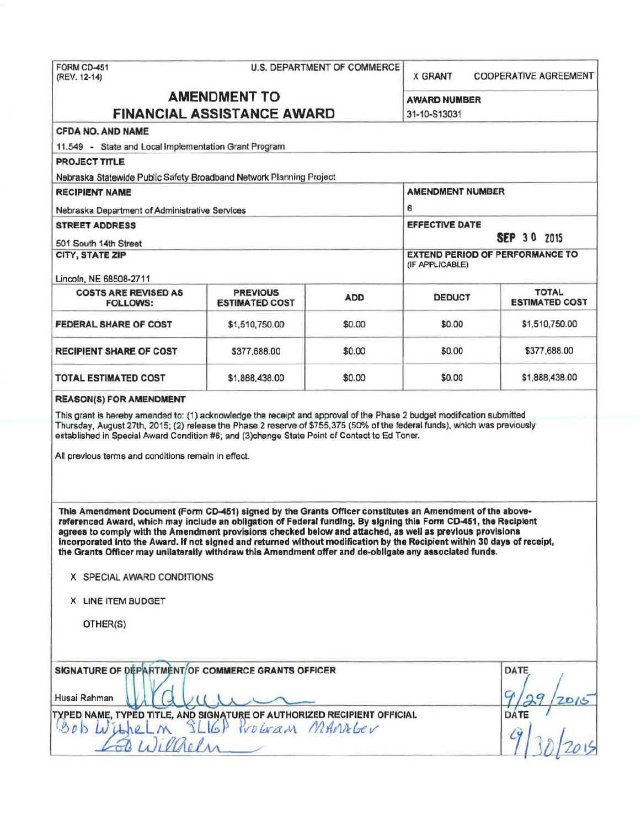| FORM CD-451<br><b>U.S. DEPARTMENT OF COMMERCE</b><br>(REV. 12-14)                                                                                                                                                                                                                                                                                                                                                                                                                                                                                                                                               |                                          |            | <b>X GRANT</b>                                            | <b>COOPERATIVE AGREEMENT</b>          |  |
|-----------------------------------------------------------------------------------------------------------------------------------------------------------------------------------------------------------------------------------------------------------------------------------------------------------------------------------------------------------------------------------------------------------------------------------------------------------------------------------------------------------------------------------------------------------------------------------------------------------------|------------------------------------------|------------|-----------------------------------------------------------|---------------------------------------|--|
| <b>AMENDMENT TO</b><br><b>FINANCIAL ASSISTANCE AWARD</b>                                                                                                                                                                                                                                                                                                                                                                                                                                                                                                                                                        |                                          |            | <b>AWARD NUMBER</b><br>31-10-S13031                       |                                       |  |
| <b>CFDA NO. AND NAME</b>                                                                                                                                                                                                                                                                                                                                                                                                                                                                                                                                                                                        |                                          |            |                                                           |                                       |  |
| 11.549 - State and Local Implementation Grant Program                                                                                                                                                                                                                                                                                                                                                                                                                                                                                                                                                           |                                          |            |                                                           |                                       |  |
| <b>PROJECT TITLE</b>                                                                                                                                                                                                                                                                                                                                                                                                                                                                                                                                                                                            |                                          |            |                                                           |                                       |  |
| Nebraska Statewide Public Safety Broadband Network Planning Project                                                                                                                                                                                                                                                                                                                                                                                                                                                                                                                                             |                                          |            |                                                           |                                       |  |
| <b>RECIPIENT NAME</b>                                                                                                                                                                                                                                                                                                                                                                                                                                                                                                                                                                                           |                                          |            | <b>AMENDMENT NUMBER</b>                                   |                                       |  |
| Nebraska Department of Administrative Services                                                                                                                                                                                                                                                                                                                                                                                                                                                                                                                                                                  |                                          |            | 6                                                         |                                       |  |
| <b>STREET ADDRESS</b>                                                                                                                                                                                                                                                                                                                                                                                                                                                                                                                                                                                           |                                          |            | <b>EFFECTIVE DATE</b><br><b>SEP 30 2015</b>               |                                       |  |
| 501 South 14th Street                                                                                                                                                                                                                                                                                                                                                                                                                                                                                                                                                                                           |                                          |            |                                                           |                                       |  |
| <b>CITY, STATE ZIP</b>                                                                                                                                                                                                                                                                                                                                                                                                                                                                                                                                                                                          |                                          |            | <b>EXTEND PERIOD OF PERFORMANCE TO</b><br>(IF APPLICABLE) |                                       |  |
| Lincoln, NE 68508-2711<br><b>COSTS ARE REVISED AS</b><br><b>FOLLOWS:</b>                                                                                                                                                                                                                                                                                                                                                                                                                                                                                                                                        | <b>PREVIOUS</b><br><b>ESTIMATED COST</b> | <b>ADD</b> | <b>DEDUCT</b>                                             | <b>TOTAL</b><br><b>ESTIMATED COST</b> |  |
| FEDERAL SHARE OF COST                                                                                                                                                                                                                                                                                                                                                                                                                                                                                                                                                                                           | \$1,510,750.00                           | \$0.00     | \$0.00                                                    | \$1,510,750.00                        |  |
| <b>RECIPIENT SHARE OF COST</b>                                                                                                                                                                                                                                                                                                                                                                                                                                                                                                                                                                                  | \$377,688.00                             | \$0.00     | \$0.00                                                    | \$377,688.00                          |  |
| TOTAL ESTIMATED COST                                                                                                                                                                                                                                                                                                                                                                                                                                                                                                                                                                                            | \$1,888,438.00                           | \$0.00     | \$0.00                                                    | \$1,888,438.00                        |  |
| established in Special Award Condition #6; and (3)change State Point of Contact to Ed Toner.<br>All previous terms and conditions remain in effect.                                                                                                                                                                                                                                                                                                                                                                                                                                                             |                                          |            |                                                           |                                       |  |
| This Amendment Document (Form CD-451) signed by the Grants Officer constitutes an Amendment of the above-<br>referenced Award, which may include an obligation of Federal funding. By signing this Form CD-451, the Recipient<br>agrees to comply with the Amendment provisions checked below and attached, as well as previous provisions<br>incorporated into the Award. If not signed and returned without modification by the Recipient within 30 days of receipt,<br>the Grants Officer may unilaterally withdraw this Amendment offer and de-obligate any associated funds.<br>X SPECIAL AWARD CONDITIONS |                                          |            |                                                           |                                       |  |
|                                                                                                                                                                                                                                                                                                                                                                                                                                                                                                                                                                                                                 |                                          |            |                                                           |                                       |  |
| X LINE ITEM BUDGET                                                                                                                                                                                                                                                                                                                                                                                                                                                                                                                                                                                              |                                          |            |                                                           |                                       |  |
| OTHER(S)                                                                                                                                                                                                                                                                                                                                                                                                                                                                                                                                                                                                        |                                          |            |                                                           |                                       |  |
| SIGNATURE OF DEPARTMENT/OF COMMERCE GRANTS OFFICER<br>Husai Rahman<br>TYPED NAME, TYPED TITLE, AND SIGNATURE OF AUTHORIZED RECIPIENT OFFICIAL<br>Gob Withelm SLIGP Program MAMAGEV                                                                                                                                                                                                                                                                                                                                                                                                                              |                                          |            |                                                           | DATE<br>2D/G<br>DATE                  |  |
| 50 Willelm                                                                                                                                                                                                                                                                                                                                                                                                                                                                                                                                                                                                      |                                          |            |                                                           |                                       |  |